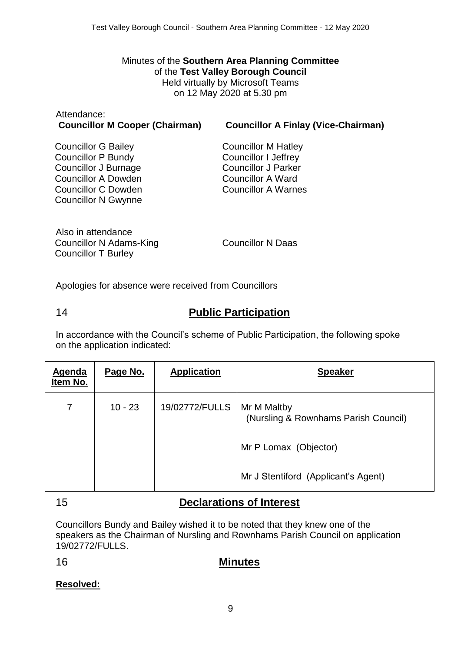Minutes of the **Southern Area Planning Committee** of the **Test Valley Borough Council** Held virtually by Microsoft Teams on 12 May 2020 at 5.30 pm

# Attendance:

#### **Councillor M Cooper (Chairman) Councillor A Finlay (Vice-Chairman)**

Councillor G Bailey Councillor P Bundy Councillor J Burnage Councillor A Dowden Councillor C Dowden Councillor N Gwynne

Councillor M Hatley Councillor I Jeffrey Councillor J Parker Councillor A Ward Councillor A Warnes

Also in attendance Councillor N Adams-King Councillor T Burley

Councillor N Daas

Apologies for absence were received from Councillors

# 14 **Public Participation**

In accordance with the Council's scheme of Public Participation, the following spoke on the application indicated:

| <b>Agenda</b><br>Item No. | Page No.  | <b>Application</b> | <b>Speaker</b>                                      |
|---------------------------|-----------|--------------------|-----------------------------------------------------|
| $\overline{7}$            | $10 - 23$ | 19/02772/FULLS     | Mr M Maltby<br>(Nursling & Rownhams Parish Council) |
|                           |           |                    | Mr P Lomax (Objector)                               |
|                           |           |                    | Mr J Stentiford (Applicant's Agent)                 |

### 15 **Declarations of Interest**

Councillors Bundy and Bailey wished it to be noted that they knew one of the speakers as the Chairman of Nursling and Rownhams Parish Council on application 19/02772/FULLS.

### 16 **Minutes**

**Resolved:**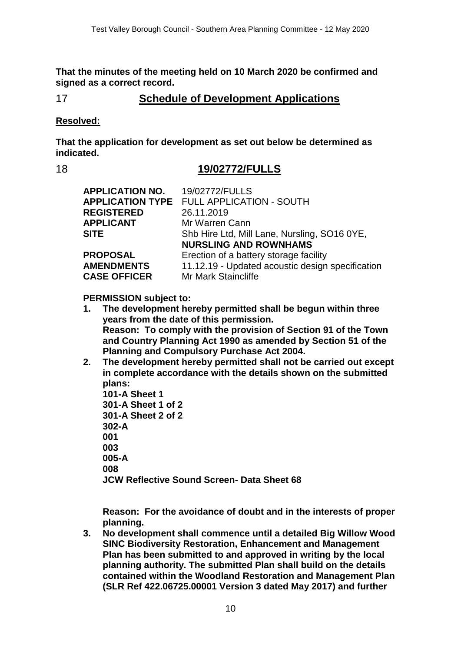**That the minutes of the meeting held on 10 March 2020 be confirmed and signed as a correct record.**

## 17 **Schedule of Development Applications**

#### **Resolved:**

**That the application for development as set out below be determined as indicated.**

#### 18 **19/02772/FULLS**

| <b>APPLICATION NO.</b><br><b>REGISTERED</b> | 19/02772/FULLS<br><b>APPLICATION TYPE FULL APPLICATION - SOUTH</b><br>26.11.2019 |
|---------------------------------------------|----------------------------------------------------------------------------------|
| <b>APPLICANT</b>                            | Mr Warren Cann                                                                   |
| <b>SITE</b>                                 | Shb Hire Ltd, Mill Lane, Nursling, SO16 0YE,                                     |
|                                             | <b>NURSLING AND ROWNHAMS</b>                                                     |
| <b>PROPOSAL</b>                             | Erection of a battery storage facility                                           |
| <b>AMENDMENTS</b>                           | 11.12.19 - Updated acoustic design specification                                 |
| <b>CASE OFFICER</b>                         | <b>Mr Mark Staincliffe</b>                                                       |

#### **PERMISSION subject to:**

- **1. The development hereby permitted shall be begun within three years from the date of this permission. Reason: To comply with the provision of Section 91 of the Town and Country Planning Act 1990 as amended by Section 51 of the Planning and Compulsory Purchase Act 2004.**
- **2. The development hereby permitted shall not be carried out except in complete accordance with the details shown on the submitted plans:**
	- **101-A Sheet 1 301-A Sheet 1 of 2 301-A Sheet 2 of 2 302-A 001 003 005-A 008 JCW Reflective Sound Screen- Data Sheet 68**

**Reason: For the avoidance of doubt and in the interests of proper planning.**

**3. No development shall commence until a detailed Big Willow Wood SINC Biodiversity Restoration, Enhancement and Management Plan has been submitted to and approved in writing by the local planning authority. The submitted Plan shall build on the details contained within the Woodland Restoration and Management Plan (SLR Ref 422.06725.00001 Version 3 dated May 2017) and further**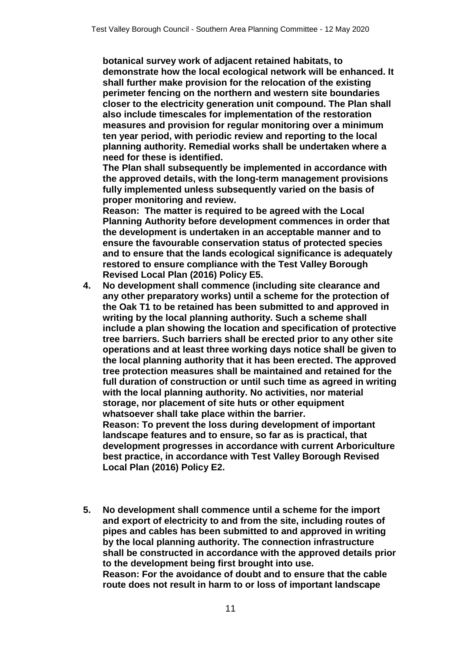**botanical survey work of adjacent retained habitats, to demonstrate how the local ecological network will be enhanced. It shall further make provision for the relocation of the existing perimeter fencing on the northern and western site boundaries closer to the electricity generation unit compound. The Plan shall also include timescales for implementation of the restoration measures and provision for regular monitoring over a minimum ten year period, with periodic review and reporting to the local planning authority. Remedial works shall be undertaken where a need for these is identified.**

**The Plan shall subsequently be implemented in accordance with the approved details, with the long-term management provisions fully implemented unless subsequently varied on the basis of proper monitoring and review.**

**Reason: The matter is required to be agreed with the Local Planning Authority before development commences in order that the development is undertaken in an acceptable manner and to ensure the favourable conservation status of protected species and to ensure that the lands ecological significance is adequately restored to ensure compliance with the Test Valley Borough Revised Local Plan (2016) Policy E5.**

**4. No development shall commence (including site clearance and any other preparatory works) until a scheme for the protection of the Oak T1 to be retained has been submitted to and approved in writing by the local planning authority. Such a scheme shall include a plan showing the location and specification of protective tree barriers. Such barriers shall be erected prior to any other site operations and at least three working days notice shall be given to the local planning authority that it has been erected. The approved tree protection measures shall be maintained and retained for the full duration of construction or until such time as agreed in writing with the local planning authority. No activities, nor material storage, nor placement of site huts or other equipment whatsoever shall take place within the barrier.**

**Reason: To prevent the loss during development of important landscape features and to ensure, so far as is practical, that development progresses in accordance with current Arboriculture best practice, in accordance with Test Valley Borough Revised Local Plan (2016) Policy E2.**

**5. No development shall commence until a scheme for the import and export of electricity to and from the site, including routes of pipes and cables has been submitted to and approved in writing by the local planning authority. The connection infrastructure shall be constructed in accordance with the approved details prior to the development being first brought into use. Reason: For the avoidance of doubt and to ensure that the cable route does not result in harm to or loss of important landscape**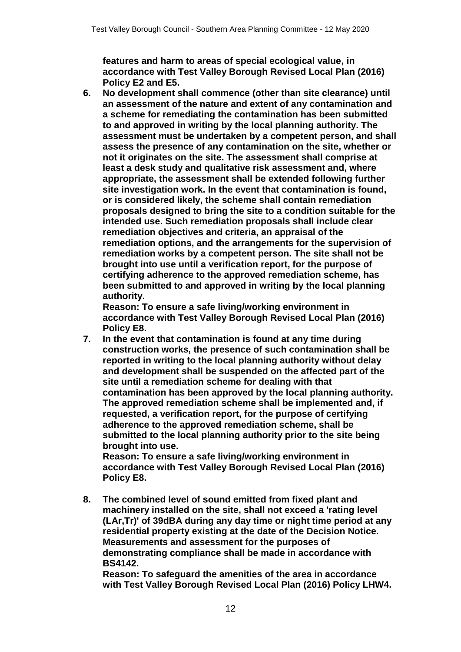**features and harm to areas of special ecological value, in accordance with Test Valley Borough Revised Local Plan (2016) Policy E2 and E5.**

**6. No development shall commence (other than site clearance) until an assessment of the nature and extent of any contamination and a scheme for remediating the contamination has been submitted to and approved in writing by the local planning authority. The assessment must be undertaken by a competent person, and shall assess the presence of any contamination on the site, whether or not it originates on the site. The assessment shall comprise at least a desk study and qualitative risk assessment and, where appropriate, the assessment shall be extended following further site investigation work. In the event that contamination is found, or is considered likely, the scheme shall contain remediation proposals designed to bring the site to a condition suitable for the intended use. Such remediation proposals shall include clear remediation objectives and criteria, an appraisal of the remediation options, and the arrangements for the supervision of remediation works by a competent person. The site shall not be brought into use until a verification report, for the purpose of certifying adherence to the approved remediation scheme, has been submitted to and approved in writing by the local planning authority.**

**Reason: To ensure a safe living/working environment in accordance with Test Valley Borough Revised Local Plan (2016) Policy E8.**

**7. In the event that contamination is found at any time during construction works, the presence of such contamination shall be reported in writing to the local planning authority without delay and development shall be suspended on the affected part of the site until a remediation scheme for dealing with that contamination has been approved by the local planning authority. The approved remediation scheme shall be implemented and, if requested, a verification report, for the purpose of certifying adherence to the approved remediation scheme, shall be submitted to the local planning authority prior to the site being brought into use.**

**Reason: To ensure a safe living/working environment in accordance with Test Valley Borough Revised Local Plan (2016) Policy E8.**

**8. The combined level of sound emitted from fixed plant and machinery installed on the site, shall not exceed a 'rating level (LAr,Tr)' of 39dBA during any day time or night time period at any residential property existing at the date of the Decision Notice. Measurements and assessment for the purposes of demonstrating compliance shall be made in accordance with BS4142.**

**Reason: To safeguard the amenities of the area in accordance with Test Valley Borough Revised Local Plan (2016) Policy LHW4.**